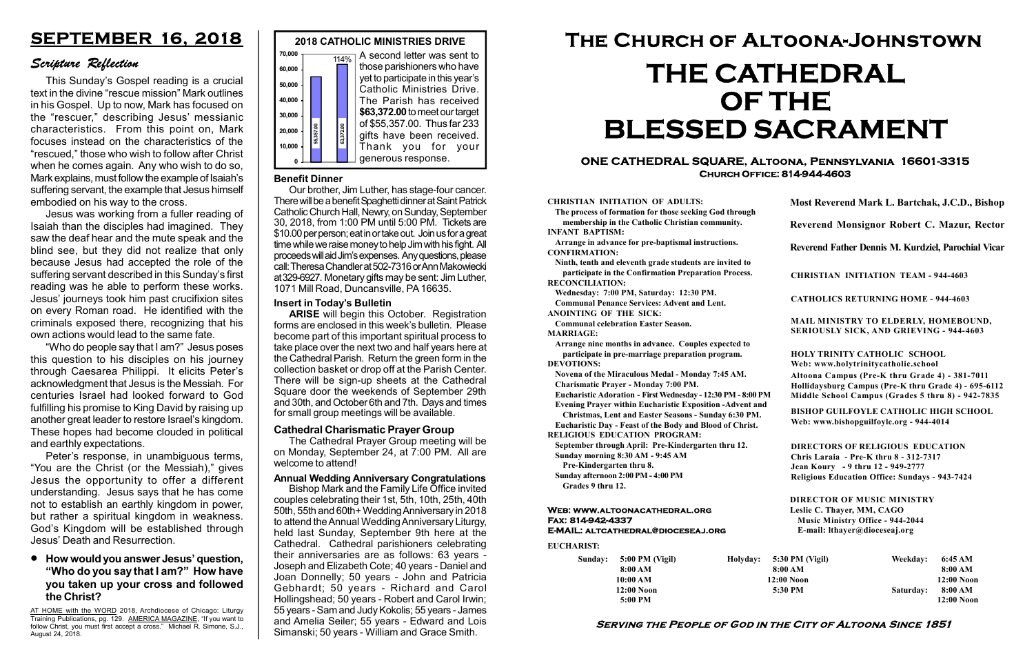#### Serving the People of God in the City of Altoona Since 1851

Sunday: 5:00 PM (Vigil) 8:00 AM 10:00 AM 12:00 Noon 5:00 PM

Holyday:

#### Web: www.altoonacathedral.org Fax: 814-942-4337 E-MAIL: altcathedral@dioceseaj.org

EUCHARIST:

#### CHRISTIAN INITIATION OF ADULTS:

The process of formation for those seeking God through membership in the Catholic Christian community. INFANT BAPTISM:

Arrange in advance for pre-baptismal instructions. CONFIRMATION:

Ninth, tenth and eleventh grade students are invited to participate in the Confirmation Preparation Process. RECONCILIATION:

Wednesday: 7:00 PM, Saturday: 12:30 PM. Communal Penance Services: Advent and Lent.

ANOINTING OF THE SICK:

Communal celebration Easter Season. MARRIAGE:

Arrange nine months in advance. Couples expected to participate in pre-marriage preparation program. DEVOTIONS:

Novena of the Miraculous Medal - Monday 7:45 AM.

Charismatic Prayer - Monday 7:00 PM. Eucharistic Adoration - First Wednesday - 12:30 PM - 8:00 PM

Evening Prayer within Eucharistic Exposition -Advent and

Christmas, Lent and Easter Seasons - Sunday 6:30 PM.

|                         | Most Reverend Mark L. Bartchak, J.C.D., Bishop                                                                                                                                  |           |                         |  |
|-------------------------|---------------------------------------------------------------------------------------------------------------------------------------------------------------------------------|-----------|-------------------------|--|
|                         | Reverend Monsignor Robert C. Mazur, Rector                                                                                                                                      |           |                         |  |
|                         | Reverend Father Dennis M. Kurdziel, Parochial Vicar                                                                                                                             |           |                         |  |
|                         | <b>CHRISTIAN INITIATION TEAM - 944-4603</b>                                                                                                                                     |           |                         |  |
|                         | <b>CATHOLICS RETURNING HOME - 944-4603</b>                                                                                                                                      |           |                         |  |
|                         | MAIL MINISTRY TO ELDERLY, HOMEBOUND,<br><b>SERIOUSLY SICK, AND GRIEVING - 944-4603</b>                                                                                          |           |                         |  |
|                         | <b>HOLY TRINITY CATHOLIC SCHOOL</b><br>Web: www.holytrinitycatholic.school                                                                                                      |           |                         |  |
| М                       | Altoona Campus (Pre-K thru Grade 4) - 381-7011<br>Hollidaysburg Campus (Pre-K thru Grade 4) - 695-6112<br>Middle School Campus (Grades 5 thru 8) - 942-7835                     |           |                         |  |
| ł                       | <b>BISHOP GUILFOYLE CATHOLIC HIGH SCHOOL</b><br>Web: www.bishopguilfoyle.org - 944-4014                                                                                         |           |                         |  |
|                         | <b>DIRECTORS OF RELIGIOUS EDUCATION</b><br>Chris Laraia - Pre-K thru 8 - 312-7317<br>Jean Koury - 9 thru 12 - 949-2777<br><b>Religious Education Office: Sundays - 943-7424</b> |           |                         |  |
|                         | <b>DIRECTOR OF MUSIC MINISTRY</b><br>Leslie C. Thayer, MM, CAGO<br><b>Music Ministry Office - 944-2044</b><br>E-mail: lthayer@dioceseaj.org                                     |           |                         |  |
|                         | 5:30 PM (Vigil)                                                                                                                                                                 | Weekday:  | 6:45 AM                 |  |
| 8:00 AM<br>$12:00$ Noon |                                                                                                                                                                                 |           | 8:00 AM<br>12:00 Noon   |  |
| 5:30 PM                 |                                                                                                                                                                                 | Saturday: | 8:00 AM<br>$12:00$ Noon |  |
|                         |                                                                                                                                                                                 |           |                         |  |

Eucharistic Day - Feast of the Body and Blood of Christ. RELIGIOUS EDUCATION PROGRAM:

September through April: Pre-Kindergarten thru 12. Sunday morning 8:30 AM - 9:45 AM



Pre-Kindergarten thru 8.

Sunday afternoon 2:00 PM - 4:00 PM Grades 9 thru 12.

#### ONE CATHEDRAL SQUARE, Altoona, Pennsylvania 16601-3315 Church Office: 814-944-4603

# The Church of Altoona-Johnstown THE CATHEDRAL OF THE BLESSED SACRAMENT

#### Cathedral Charismatic Prayer Group

The Cathedral Prayer Group meeting will be on Monday, September 24, at 7:00 PM. All are welcome to attend!

#### How would you answer Jesus' question, "Who do you say that I am?" How have you taken up your cross and followed the Christ?

## SEPTEMBER 16, 2018

### Scripture Reflection

This Sunday's Gospel reading is a crucial text in the divine "rescue mission" Mark outlines in his Gospel. Up to now, Mark has focused on the "rescuer," describing Jesus' messianic characteristics. From this point on, Mark focuses instead on the characteristics of the "rescued," those who wish to follow after Christ when he comes again. Any who wish to do so, Mark explains, must follow the example of Isaiah's suffering servant, the example that Jesus himself embodied on his way to the cross.

Jesus was working from a fuller reading of Isaiah than the disciples had imagined. They saw the deaf hear and the mute speak and the blind see, but they did not realize that only because Jesus had accepted the role of the suffering servant described in this Sunday's first reading was he able to perform these works. Jesus' journeys took him past crucifixion sites on every Roman road. He identified with the criminals exposed there, recognizing that his own actions would lead to the same fate.

"Who do people say that I am?" Jesus poses this question to his disciples on his journey through Caesarea Philippi. It elicits Peter's acknowledgment that Jesus is the Messiah. For centuries Israel had looked forward to God fulfilling his promise to King David by raising up another great leader to restore Israel's kingdom. These hopes had become clouded in political and earthly expectations.

Peter's response, in unambiguous terms, "You are the Christ (or the Messiah)," gives Jesus the opportunity to offer a different understanding. Jesus says that he has come not to establish an earthly kingdom in power, but rather a spiritual kingdom in weakness. God's Kingdom will be established through Jesus' Death and Resurrection.

#### Annual Wedding Anniversary Congratulations

Bishop Mark and the Family Life Office invited couples celebrating their 1st, 5th, 10th, 25th, 40th 50th, 55th and 60th+ Wedding Anniversary in 2018 to attend the Annual Wedding Anniversary Liturgy, held last Sunday, September 9th here at the Cathedral. Cathedral parishioners celebrating their anniversaries are as follows: 63 years - Joseph and Elizabeth Cote; 40 years - Daniel and Joan Donnelly; 50 years - John and Patricia Gebhardt; 50 years - Richard and Carol Hollingshead; 50 years - Robert and Carol Irwin; 55 years - Sam and Judy Kokolis; 55 years - James and Amelia Seiler; 55 years - Edward and Lois Simanski; 50 years - William and Grace Smith.

#### Insert in Today's Bulletin

ARISE will begin this October. Registration forms are enclosed in this week's bulletin. Please become part of this important spiritual process to take place over the next two and half years here at the Cathedral Parish. Return the green form in the collection basket or drop off at the Parish Center. There will be sign-up sheets at the Cathedral Square door the weekends of September 29th and 30th, and October 6th and 7th. Days and times for small group meetings will be available.

#### Benefit Dinner

Our brother, Jim Luther, has stage-four cancer. There will be a benefit Spaghetti dinner at Saint Patrick Catholic Church Hall, Newry, on Sunday, September 30, 2018, from 1:00 PM until 5:00 PM. Tickets are \$10.00 per person; eat in or take out. Join us for a great time while we raise money to help Jim with his fight. All proceeds will aid Jim's expenses. Any questions, please call: Theresa Chandler at 502-7316 or Ann Makowiecki at 329-6927. Monetary gifts may be sent: Jim Luther, 1071 Mill Road, Duncansville, PA 16635.

AT HOME with the WORD 2018, Archdiocese of Chicago: Liturgy Training Publications, pg. 129. AMERICA MAGAZINE, "If you want to follow Christ, you must first accept a cross." Michael R. Simone, S.J., August 24, 2018.